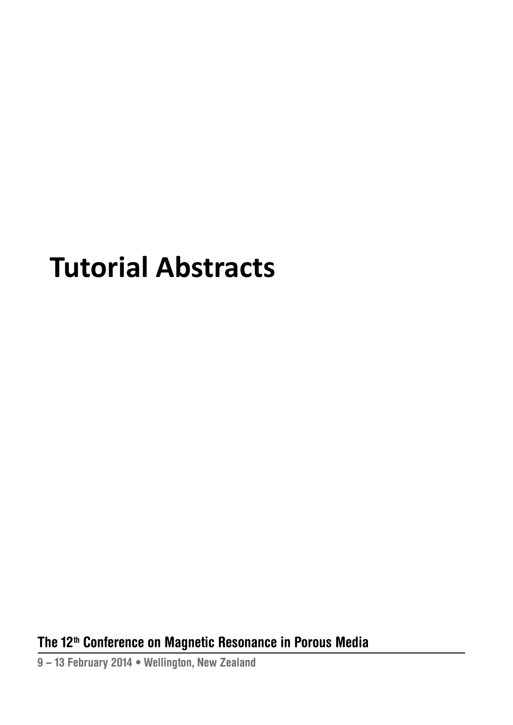# **Tutorial Abstracts**

**The 12 th Conference on Magnetic resonance in Porous Media**

**9 – 13 February 2014 • Wellington, new Zealand**